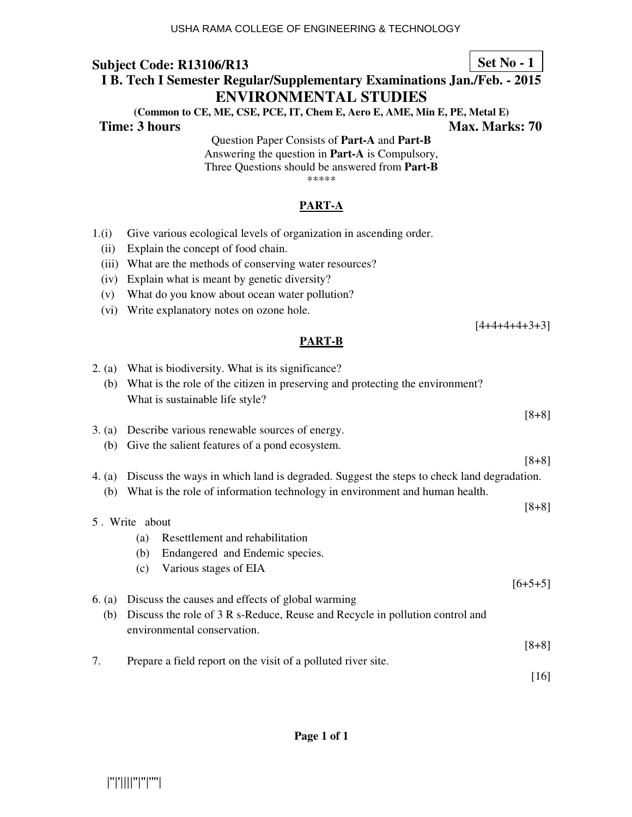# **I B. Tech I Semester Regular/Supplementary Examinations Jan./Feb. - 2015 ENVIRONMENTAL STUDIES**

**(Common to CE, ME, CSE, PCE, IT, Chem E, Aero E, AME, Min E, PE, Metal E) Time: 3 hours A. A. A. A. A. A. A. A. A. A. Max. Marks: 70** 

> Question Paper Consists of **Part-A** and **Part-B** Answering the question in **Part-A** is Compulsory, Three Questions should be answered from **Part-B** \*\*\*\*\*

### **PART-A**

- 1.(i) Give various ecological levels of organization in ascending order.
	- (ii) Explain the concept of food chain.
	- (iii) What are the methods of conserving water resources?
	- (iv) Explain what is meant by genetic diversity?
	- (v) What do you know about ocean water pollution?
	- (vi) Write explanatory notes on ozone hole.

## **PART-B**

| 2. (a)                                                                                               | What is biodiversity. What is its significance?                               |  |  |
|------------------------------------------------------------------------------------------------------|-------------------------------------------------------------------------------|--|--|
| (b)                                                                                                  | What is the role of the citizen in preserving and protecting the environment? |  |  |
|                                                                                                      | What is sustainable life style?                                               |  |  |
|                                                                                                      | $[8+8]$                                                                       |  |  |
|                                                                                                      |                                                                               |  |  |
| 3. (a)                                                                                               | Describe various renewable sources of energy.                                 |  |  |
| (b)                                                                                                  | Give the salient features of a pond ecosystem.                                |  |  |
|                                                                                                      | $[8+8]$                                                                       |  |  |
| Discuss the ways in which land is degraded. Suggest the steps to check land degradation.<br>4. $(a)$ |                                                                               |  |  |
| (b)                                                                                                  | What is the role of information technology in environment and human health.   |  |  |
|                                                                                                      | $[8+8]$                                                                       |  |  |
| 5. Write about                                                                                       |                                                                               |  |  |
|                                                                                                      | Resettlement and rehabilitation<br>(a)                                        |  |  |
|                                                                                                      |                                                                               |  |  |
|                                                                                                      | Endangered and Endemic species.<br>(b)                                        |  |  |
|                                                                                                      | Various stages of EIA<br>(c)                                                  |  |  |
|                                                                                                      | $[6+5+5]$                                                                     |  |  |
| 6. $(a)$                                                                                             | Discuss the causes and effects of global warming                              |  |  |
| (b)                                                                                                  | Discuss the role of 3 R s-Reduce, Reuse and Recycle in pollution control and  |  |  |
|                                                                                                      | environmental conservation.                                                   |  |  |
|                                                                                                      | $[8+8]$                                                                       |  |  |
|                                                                                                      |                                                                               |  |  |
| 7.                                                                                                   | Prepare a field report on the visit of a polluted river site.                 |  |  |
|                                                                                                      | $[16]$                                                                        |  |  |

|''|'||||''|''|''''|

# **Set No - 1**

 $[4+4+4+4+3+3]$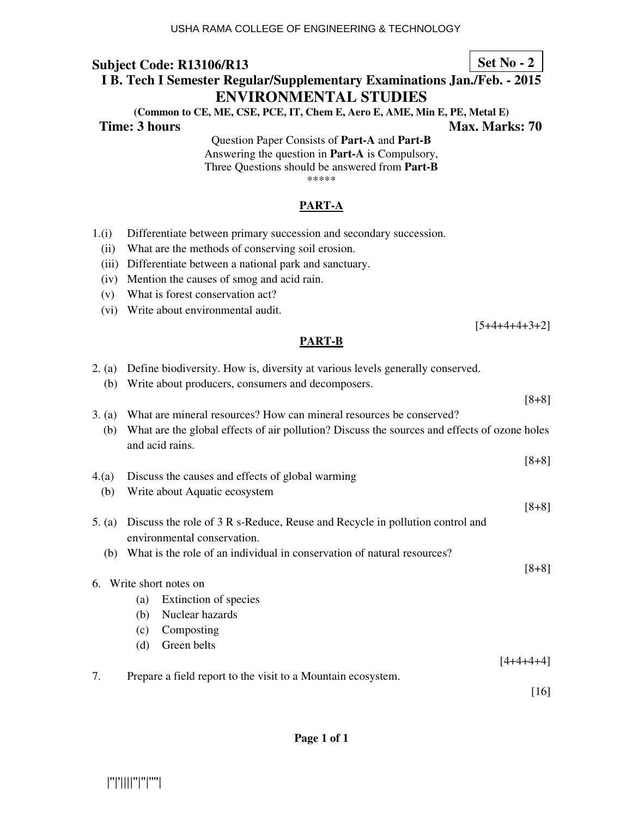## **I B. Tech I Semester Regular/Supplementary Examinations Jan./Feb. - 2015 ENVIRONMENTAL STUDIES**

**(Common to CE, ME, CSE, PCE, IT, Chem E, Aero E, AME, Min E, PE, Metal E) Time: 3 hours Max. Marks: 70 Max. Marks: 70** 

> Question Paper Consists of **Part-A** and **Part-B** Answering the question in **Part-A** is Compulsory, Three Questions should be answered from **Part-B** \*\*\*\*\*

### **PART-A**

- 1.(i) Differentiate between primary succession and secondary succession.
	- (ii) What are the methods of conserving soil erosion.
	- (iii) Differentiate between a national park and sanctuary.
	- (iv) Mention the causes of smog and acid rain.
	- (v) What is forest conservation act?
	- (vi) Write about environmental audit.

#### **PART-B**

| 2. (a)   | Define biodiversity. How is, diversity at various levels generally conserved.                                   |           |  |
|----------|-----------------------------------------------------------------------------------------------------------------|-----------|--|
| (b)      | Write about producers, consumers and decomposers.                                                               |           |  |
|          |                                                                                                                 | $[8+8]$   |  |
| 3. (a)   | What are mineral resources? How can mineral resources be conserved?                                             |           |  |
| (b)      | What are the global effects of air pollution? Discuss the sources and effects of ozone holes<br>and acid rains. |           |  |
|          |                                                                                                                 | $[8+8]$   |  |
| 4(a)     | Discuss the causes and effects of global warming                                                                |           |  |
| (b)      | Write about Aquatic ecosystem                                                                                   |           |  |
|          |                                                                                                                 | $[8+8]$   |  |
| 5. $(a)$ | Discuss the role of 3 R s-Reduce, Reuse and Recycle in pollution control and                                    |           |  |
|          | environmental conservation.                                                                                     |           |  |
| (b)      | What is the role of an individual in conservation of natural resources?                                         |           |  |
|          |                                                                                                                 | $[8+8]$   |  |
| 6.       | Write short notes on                                                                                            |           |  |
|          | Extinction of species<br>(a)                                                                                    |           |  |
|          | Nuclear hazards<br>(b)                                                                                          |           |  |
|          | Composting<br>(c)                                                                                               |           |  |
|          | Green belts<br>(d)                                                                                              |           |  |
|          |                                                                                                                 | [4+4+4+4] |  |
| 7.       | Prepare a field report to the visit to a Mountain ecosystem.                                                    |           |  |
|          |                                                                                                                 | $[16]$    |  |

|''|'||||''|''|''''|

**Set No - 2**

[5+4+4+4+3+2]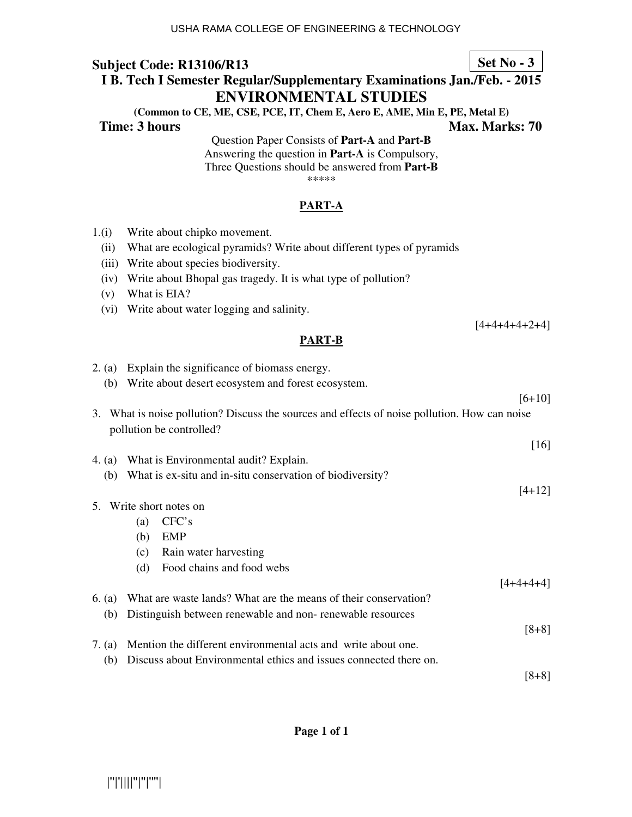# **I B. Tech I Semester Regular/Supplementary Examinations Jan./Feb. - 2015 ENVIRONMENTAL STUDIES**

**(Common to CE, ME, CSE, PCE, IT, Chem E, Aero E, AME, Min E, PE, Metal E) Time: 3 hours Max. Marks: 70 Max. Marks: 70** 

> Question Paper Consists of **Part-A** and **Part-B** Answering the question in **Part-A** is Compulsory, Three Questions should be answered from **Part-B** \*\*\*\*\*

#### **PART-A**

- 1.(i) Write about chipko movement.
	- (ii) What are ecological pyramids? Write about different types of pyramids
	- (iii) Write about species biodiversity.
	- (iv) Write about Bhopal gas tragedy. It is what type of pollution?
	- (v) What is EIA?
	- (vi) Write about water logging and salinity.

#### [4+4+4+4+2+4]

#### **PART-B**

|          |                 |                           | $[6+10]$                                                                                                                                                                                                                                                                                                                                                                                                                                                                                                                                                                                                                                                |
|----------|-----------------|---------------------------|---------------------------------------------------------------------------------------------------------------------------------------------------------------------------------------------------------------------------------------------------------------------------------------------------------------------------------------------------------------------------------------------------------------------------------------------------------------------------------------------------------------------------------------------------------------------------------------------------------------------------------------------------------|
|          |                 |                           |                                                                                                                                                                                                                                                                                                                                                                                                                                                                                                                                                                                                                                                         |
|          |                 |                           | $[16]$                                                                                                                                                                                                                                                                                                                                                                                                                                                                                                                                                                                                                                                  |
|          |                 |                           |                                                                                                                                                                                                                                                                                                                                                                                                                                                                                                                                                                                                                                                         |
| (b)      |                 |                           |                                                                                                                                                                                                                                                                                                                                                                                                                                                                                                                                                                                                                                                         |
|          |                 |                           | $[4+12]$                                                                                                                                                                                                                                                                                                                                                                                                                                                                                                                                                                                                                                                |
|          |                 |                           |                                                                                                                                                                                                                                                                                                                                                                                                                                                                                                                                                                                                                                                         |
|          | (a)             | CFC's                     |                                                                                                                                                                                                                                                                                                                                                                                                                                                                                                                                                                                                                                                         |
|          | (b)             | <b>EMP</b>                |                                                                                                                                                                                                                                                                                                                                                                                                                                                                                                                                                                                                                                                         |
|          | (c)             | Rain water harvesting     |                                                                                                                                                                                                                                                                                                                                                                                                                                                                                                                                                                                                                                                         |
|          | (d)             | Food chains and food webs |                                                                                                                                                                                                                                                                                                                                                                                                                                                                                                                                                                                                                                                         |
|          |                 |                           | -4+4+4                                                                                                                                                                                                                                                                                                                                                                                                                                                                                                                                                                                                                                                  |
| 6. $(a)$ |                 |                           |                                                                                                                                                                                                                                                                                                                                                                                                                                                                                                                                                                                                                                                         |
| (b)      |                 |                           |                                                                                                                                                                                                                                                                                                                                                                                                                                                                                                                                                                                                                                                         |
|          |                 |                           | $[8+8]$                                                                                                                                                                                                                                                                                                                                                                                                                                                                                                                                                                                                                                                 |
|          |                 |                           |                                                                                                                                                                                                                                                                                                                                                                                                                                                                                                                                                                                                                                                         |
|          |                 |                           |                                                                                                                                                                                                                                                                                                                                                                                                                                                                                                                                                                                                                                                         |
|          |                 |                           | $[8+8]$                                                                                                                                                                                                                                                                                                                                                                                                                                                                                                                                                                                                                                                 |
|          | 7. $(a)$<br>(b) |                           | 2. (a) Explain the significance of biomass energy.<br>(b) Write about desert ecosystem and forest ecosystem.<br>3. What is noise pollution? Discuss the sources and effects of noise pollution. How can noise<br>pollution be controlled?<br>4. (a) What is Environmental audit? Explain.<br>What is ex-situ and in-situ conservation of biodiversity?<br>5. Write short notes on<br>What are waste lands? What are the means of their conservation?<br>Distinguish between renewable and non-renewable resources<br>Mention the different environmental acts and write about one.<br>Discuss about Environmental ethics and issues connected there on. |

**Set No - 3**